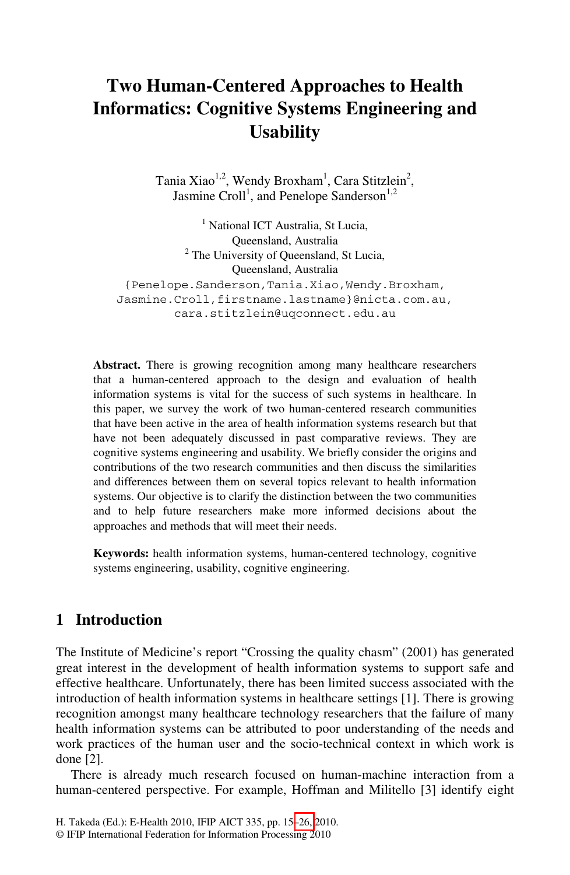# **Two Human-Centered Approaches to Health Informatics: Cognitive Systems Engineering and Usability**

Tania Xiao<sup>1,2</sup>, Wendy Broxham<sup>1</sup>, Cara Stitzlein<sup>2</sup>, Jasmine Croll<sup>1</sup>, and Penelope Sanderson<sup>1,2</sup>

<sup>1</sup> National ICT Australia, St Lucia, Queensland, Australia<br><sup>2</sup> The University of Queensland, St Lucia, Queensland, Australia {Penelope.Sanderson,Tania.Xiao,Wendy.Broxham, Jasmine.Croll,firstname.lastname}@nicta.com.au, cara.stitzlein@uqconnect.edu.au

Abstract. There is growing recognition among many healthcare researchers that a human-centered approach to the design and evaluation of health information systems is vital for the success of such systems in healthcare. In this paper, we survey the work of two human-centered research communities that have been active in the area of health information systems research but that have not been adequately discussed in past comparative reviews. They are cognitive systems engineering and usability. We briefly consider the origins and contributions of the two research communities and then discuss the similarities and differences between them on several topics relevant to health information systems. Our objective is to clarify the distinction between the two communities and to help future researchers make more informed decisions about the approaches and methods that will meet their needs.

**Keywords:** health information systems, human-centered technology, cognitive systems engineering, usability, cognitive engineering.

### **1 Introduction**

The Institute of Medicine's report "Crossing the quality chasm" (2001) has generated great interest in the development of health information systems to support safe and effective healthcare. Unfortunately, there has been limited success associated with the introduction of health in[form](#page-11-0)ation systems in healthcare settings [1]. There is growing recognition amongst many healthcare technology researchers that the failure of many health information systems can be attributed to poor understanding of the needs and work practices of the human user and the socio-technical context in which work is done [2].

There is already much research focused on human-machine interaction from a human-centered perspective. For example, Hoffman and Militello [3] identify eight

H. Takeda (Ed.): E-Health 2010, IFIP AICT 335, pp. 15–26, 2010.

<sup>©</sup> IFIP International Federation for Information Processing 2010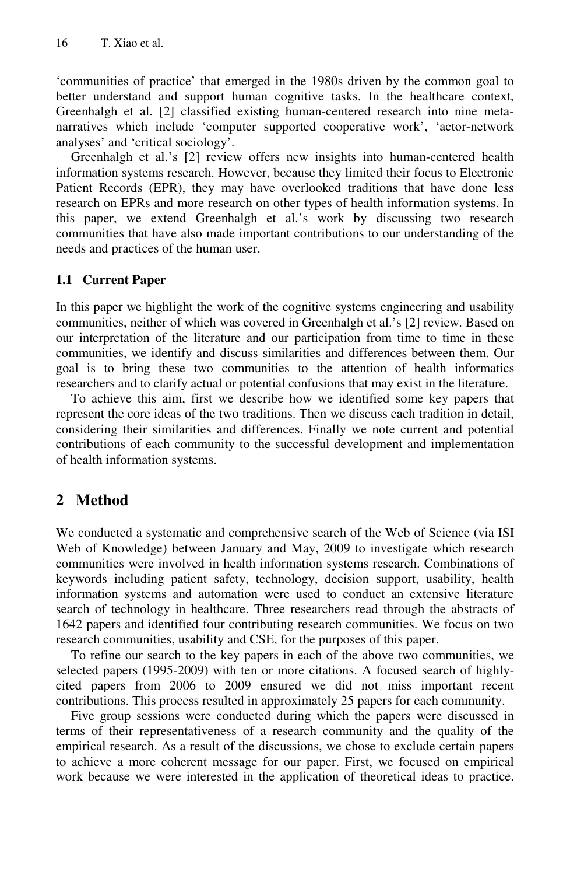'communities of practice' that emerged in the 1980s driven by the common goal to better understand and support human cognitive tasks. In the healthcare context, Greenhalgh et al. [2] classified existing human-centered research into nine metanarratives which include 'computer supported cooperative work', 'actor-network analyses' and 'critical sociology'.

Greenhalgh et al.'s [2] review offers new insights into human-centered health information systems research. However, because they limited their focus to Electronic Patient Records (EPR), they may have overlooked traditions that have done less research on EPRs and more research on other types of health information systems. In this paper, we extend Greenhalgh et al.'s work by discussing two research communities that have also made important contributions to our understanding of the needs and practices of the human user.

#### **1.1 Current Paper**

In this paper we highlight the work of the cognitive systems engineering and usability communities, neither of which was covered in Greenhalgh et al.'s [2] review. Based on our interpretation of the literature and our participation from time to time in these communities, we identify and discuss similarities and differences between them. Our goal is to bring these two communities to the attention of health informatics researchers and to clarify actual or potential confusions that may exist in the literature.

To achieve this aim, first we describe how we identified some key papers that represent the core ideas of the two traditions. Then we discuss each tradition in detail, considering their similarities and differences. Finally we note current and potential contributions of each community to the successful development and implementation of health information systems.

## **2 Method**

We conducted a systematic and comprehensive search of the Web of Science (via ISI Web of Knowledge) between January and May, 2009 to investigate which research communities were involved in health information systems research. Combinations of keywords including patient safety, technology, decision support, usability, health information systems and automation were used to conduct an extensive literature search of technology in healthcare. Three researchers read through the abstracts of 1642 papers and identified four contributing research communities. We focus on two research communities, usability and CSE, for the purposes of this paper.

To refine our search to the key papers in each of the above two communities, we selected papers (1995-2009) with ten or more citations. A focused search of highlycited papers from 2006 to 2009 ensured we did not miss important recent contributions. This process resulted in approximately 25 papers for each community.

Five group sessions were conducted during which the papers were discussed in terms of their representativeness of a research community and the quality of the empirical research. As a result of the discussions, we chose to exclude certain papers to achieve a more coherent message for our paper. First, we focused on empirical work because we were interested in the application of theoretical ideas to practice.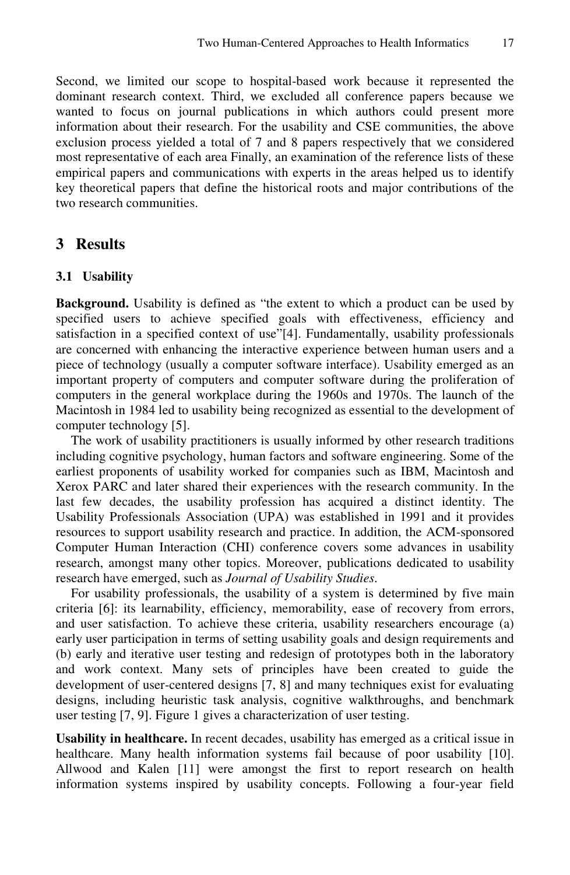Second, we limited our scope to hospital-based work because it represented the dominant research context. Third, we excluded all conference papers because we wanted to focus on journal publications in which authors could present more information about their research. For the usability and CSE communities, the above exclusion process yielded a total of 7 and 8 papers respectively that we considered most representative of each area Finally, an examination of the reference lists of these empirical papers and communications with experts in the areas helped us to identify key theoretical papers that define the historical roots and major contributions of the two research communities.

#### **3 Results**

#### **3.1 Usability**

**Background.** Usability is defined as "the extent to which a product can be used by specified users to achieve specified goals with effectiveness, efficiency and satisfaction in a specified context of use"[4]. Fundamentally, usability professionals are concerned with enhancing the interactive experience between human users and a piece of technology (usually a computer software interface). Usability emerged as an important property of computers and computer software during the proliferation of computers in the general workplace during the 1960s and 1970s. The launch of the Macintosh in 1984 led to usability being recognized as essential to the development of computer technology [5].

The work of usability practitioners is usually informed by other research traditions including cognitive psychology, human factors and software engineering. Some of the earliest proponents of usability worked for companies such as IBM, Macintosh and Xerox PARC and later shared their experiences with the research community. In the last few decades, the usability profession has acquired a distinct identity. The Usability Professionals Association (UPA) was established in 1991 and it provides resources to support usability research and practice. In addition, the ACM-sponsored Computer Human Interaction (CHI) conference covers some advances in usability research, amongst many other topics. Moreover, publications dedicated to usability research have emerged, such as *Journal of Usability Studies*.

For usability professionals, the usability of a system is determined by five main criteria [6]: its learnability, efficiency, memorability, ease of recovery from errors, and user satisfaction. To achieve these criteria, usability researchers encourage (a) early user participation in terms of setting usability goals and design requirements and (b) early and iterative user testing and redesign of prototypes both in the laboratory and work context. Many sets of principles have been created to guide the development of user-centered designs [7, 8] and many techniques exist for evaluating designs, including heuristic task analysis, cognitive walkthroughs, and benchmark user testing [7, 9]. Figure 1 gives a characterization of user testing.

**Usability in healthcare.** In recent decades, usability has emerged as a critical issue in healthcare. Many health information systems fail because of poor usability [10]. Allwood and Kalen [11] were amongst the first to report research on health information systems inspired by usability concepts. Following a four-year field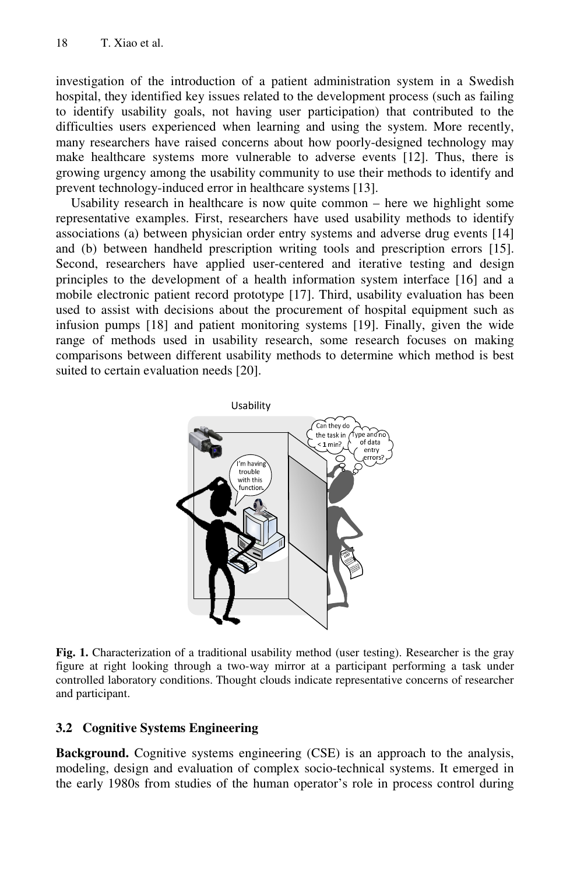investigation of the introduction of a patient administration system in a Swedish hospital, they identified key issues related to the development process (such as failing to identify usability goals, not having user participation) that contributed to the difficulties users experienced when learning and using the system. More recently, many researchers have raised concerns about how poorly-designed technology may make healthcare systems more vulnerable to adverse events [12]. Thus, there is growing urgency among the usability community to use their methods to identify and prevent technology-induced error in healthcare systems [13].

Usability research in healthcare is now quite common – here we highlight some representative examples. First, researchers have used usability methods to identify associations (a) between physician order entry systems and adverse drug events [14] and (b) between handheld prescription writing tools and prescription errors [15]. Second, researchers have applied user-centered and iterative testing and design principles to the development of a health information system interface [16] and a mobile electronic patient record prototype [17]. Third, usability evaluation has been used to assist with decisions about the procurement of hospital equipment such as infusion pumps [18] and patient monitoring systems [19]. Finally, given the wide range of methods used in usability research, some research focuses on making comparisons between different usability methods to determine which method is best suited to certain evaluation needs [20].



**Fig. 1.** Characterization of a traditional usability method (user testing). Researcher is the gray figure at right looking through a two-way mirror at a participant performing a task under controlled laboratory conditions. Thought clouds indicate representative concerns of researcher and participant.

#### **3.2 Cognitive Systems Engineering**

**Background.** Cognitive systems engineering (CSE) is an approach to the analysis, modeling, design and evaluation of complex socio-technical systems. It emerged in the early 1980s from studies of the human operator's role in process control during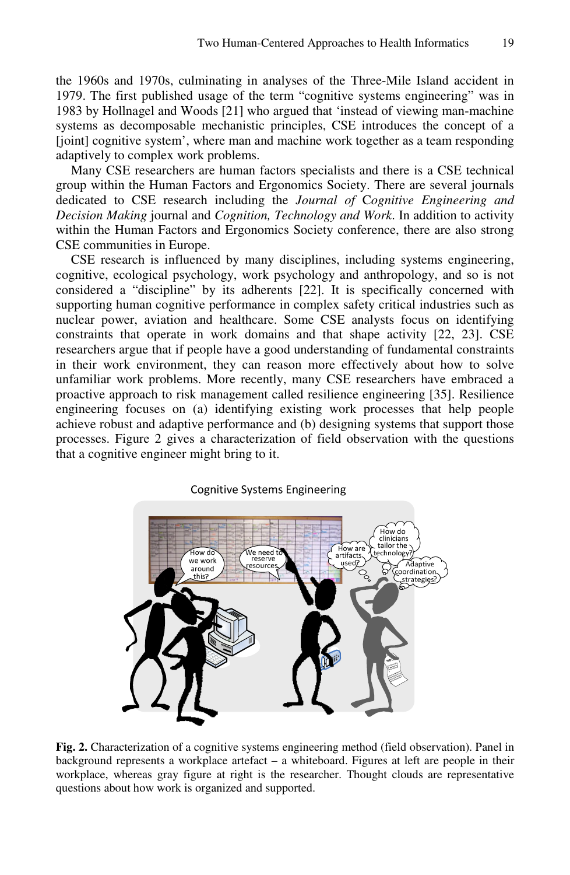the 1960s and 1970s, culminating in analyses of the Three-Mile Island accident in 1979. The first published usage of the term "cognitive systems engineering" was in 1983 by Hollnagel and Woods [21] who argued that 'instead of viewing man-machine systems as decomposable mechanistic principles, CSE introduces the concept of a [joint] cognitive system', where man and machine work together as a team responding adaptively to complex work problems.

Many CSE researchers are human factors specialists and there is a CSE technical group within the Human Factors and Ergonomics Society. There are several journals dedicated to CSE research including the *Journal of* C*ognitive Engineering and Decision Making* journal and *Cognition, Technology and Work*. In addition to activity within the Human Factors and Ergonomics Society conference, there are also strong CSE communities in Europe.

CSE research is influenced by many disciplines, including systems engineering, cognitive, ecological psychology, work psychology and anthropology, and so is not considered a "discipline" by its adherents [22]. It is specifically concerned with supporting human cognitive performance in complex safety critical industries such as nuclear power, aviation and healthcare. Some CSE analysts focus on identifying constraints that operate in work domains and that shape activity [22, 23]. CSE researchers argue that if people have a good understanding of fundamental constraints in their work environment, they can reason more effectively about how to solve unfamiliar work problems. More recently, many CSE researchers have embraced a proactive approach to risk management called resilience engineering [35]. Resilience engineering focuses on (a) identifying existing work processes that help people achieve robust and adaptive performance and (b) designing systems that support those processes. Figure 2 gives a characterization of field observation with the questions that a cognitive engineer might bring to it.



**Fig. 2.** Characterization of a cognitive systems engineering method (field observation). Panel in background represents a workplace artefact – a whiteboard. Figures at left are people in their workplace, whereas gray figure at right is the researcher. Thought clouds are representative questions about how work is organized and supported.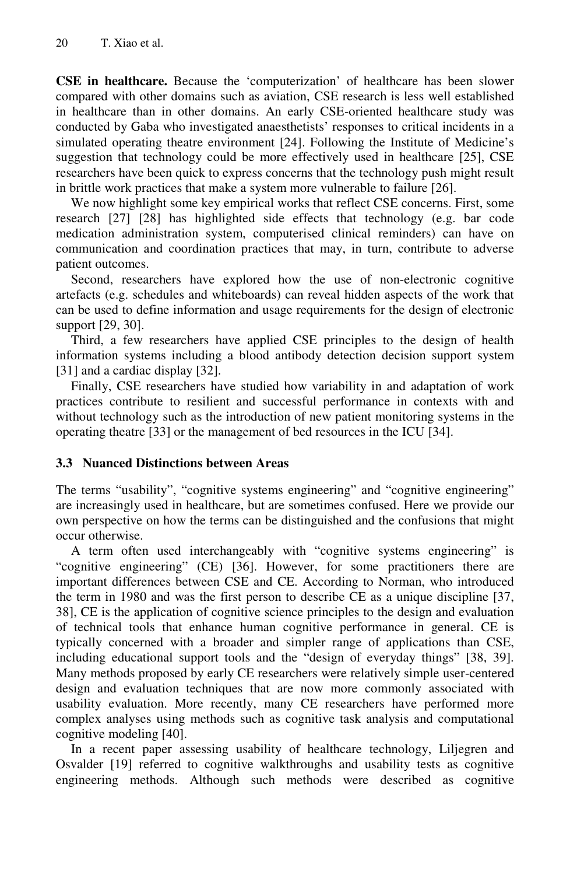**CSE in healthcare.** Because the 'computerization' of healthcare has been slower compared with other domains such as aviation, CSE research is less well established in healthcare than in other domains. An early CSE-oriented healthcare study was conducted by Gaba who investigated anaesthetists' responses to critical incidents in a simulated operating theatre environment [24]. Following the Institute of Medicine's suggestion that technology could be more effectively used in healthcare [25], CSE researchers have been quick to express concerns that the technology push might result in brittle work practices that make a system more vulnerable to failure [26].

We now highlight some key empirical works that reflect CSE concerns. First, some research [27] [28] has highlighted side effects that technology (e.g. bar code medication administration system, computerised clinical reminders) can have on communication and coordination practices that may, in turn, contribute to adverse patient outcomes.

Second, researchers have explored how the use of non-electronic cognitive artefacts (e.g. schedules and whiteboards) can reveal hidden aspects of the work that can be used to define information and usage requirements for the design of electronic support [29, 30].

Third, a few researchers have applied CSE principles to the design of health information systems including a blood antibody detection decision support system [31] and a cardiac display [32].

Finally, CSE researchers have studied how variability in and adaptation of work practices contribute to resilient and successful performance in contexts with and without technology such as the introduction of new patient monitoring systems in the operating theatre [33] or the management of bed resources in the ICU [34].

#### **3.3 Nuanced Distinctions between Areas**

The terms "usability", "cognitive systems engineering" and "cognitive engineering" are increasingly used in healthcare, but are sometimes confused. Here we provide our own perspective on how the terms can be distinguished and the confusions that might occur otherwise.

A term often used interchangeably with "cognitive systems engineering" is "cognitive engineering" (CE) [36]. However, for some practitioners there are important differences between CSE and CE. According to Norman, who introduced the term in 1980 and was the first person to describe CE as a unique discipline [37, 38], CE is the application of cognitive science principles to the design and evaluation of technical tools that enhance human cognitive performance in general. CE is typically concerned with a broader and simpler range of applications than CSE, including educational support tools and the "design of everyday things" [38, 39]. Many methods proposed by early CE researchers were relatively simple user-centered design and evaluation techniques that are now more commonly associated with usability evaluation. More recently, many CE researchers have performed more complex analyses using methods such as cognitive task analysis and computational cognitive modeling [40].

In a recent paper assessing usability of healthcare technology, Liljegren and Osvalder [19] referred to cognitive walkthroughs and usability tests as cognitive engineering methods. Although such methods were described as cognitive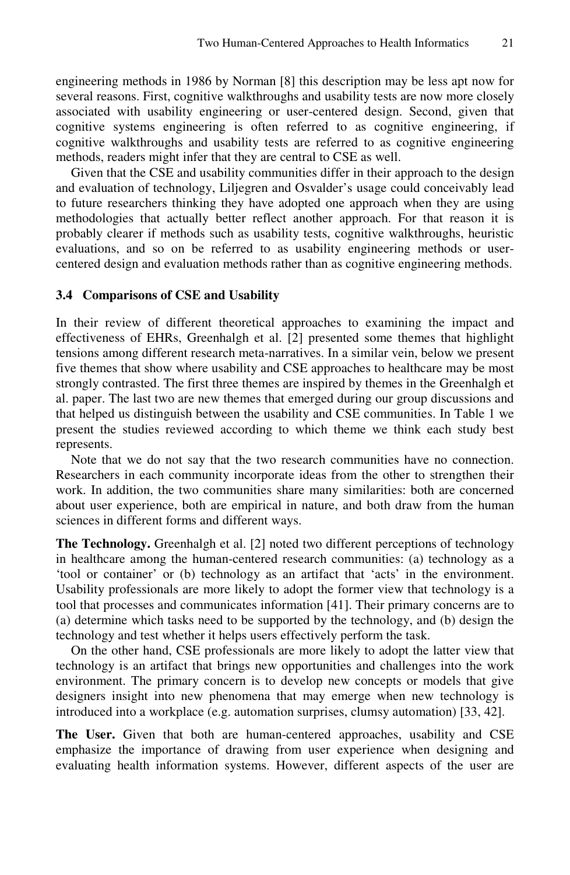engineering methods in 1986 by Norman [8] this description may be less apt now for several reasons. First, cognitive walkthroughs and usability tests are now more closely associated with usability engineering or user-centered design. Second, given that cognitive systems engineering is often referred to as cognitive engineering, if cognitive walkthroughs and usability tests are referred to as cognitive engineering methods, readers might infer that they are central to CSE as well.

Given that the CSE and usability communities differ in their approach to the design and evaluation of technology, Liljegren and Osvalder's usage could conceivably lead to future researchers thinking they have adopted one approach when they are using methodologies that actually better reflect another approach. For that reason it is probably clearer if methods such as usability tests, cognitive walkthroughs, heuristic evaluations, and so on be referred to as usability engineering methods or usercentered design and evaluation methods rather than as cognitive engineering methods.

#### **3.4 Comparisons of CSE and Usability**

In their review of different theoretical approaches to examining the impact and effectiveness of EHRs, Greenhalgh et al. [2] presented some themes that highlight tensions among different research meta-narratives. In a similar vein, below we present five themes that show where usability and CSE approaches to healthcare may be most strongly contrasted. The first three themes are inspired by themes in the Greenhalgh et al. paper. The last two are new themes that emerged during our group discussions and that helped us distinguish between the usability and CSE communities. In Table 1 we present the studies reviewed according to which theme we think each study best represents.

Note that we do not say that the two research communities have no connection. Researchers in each community incorporate ideas from the other to strengthen their work. In addition, the two communities share many similarities: both are concerned about user experience, both are empirical in nature, and both draw from the human sciences in different forms and different ways.

**The Technology.** Greenhalgh et al. [2] noted two different perceptions of technology in healthcare among the human-centered research communities: (a) technology as a 'tool or container' or (b) technology as an artifact that 'acts' in the environment. Usability professionals are more likely to adopt the former view that technology is a tool that processes and communicates information [41]. Their primary concerns are to (a) determine which tasks need to be supported by the technology, and (b) design the technology and test whether it helps users effectively perform the task.

On the other hand, CSE professionals are more likely to adopt the latter view that technology is an artifact that brings new opportunities and challenges into the work environment. The primary concern is to develop new concepts or models that give designers insight into new phenomena that may emerge when new technology is introduced into a workplace (e.g. automation surprises, clumsy automation) [33, 42].

**The User.** Given that both are human-centered approaches, usability and CSE emphasize the importance of drawing from user experience when designing and evaluating health information systems. However, different aspects of the user are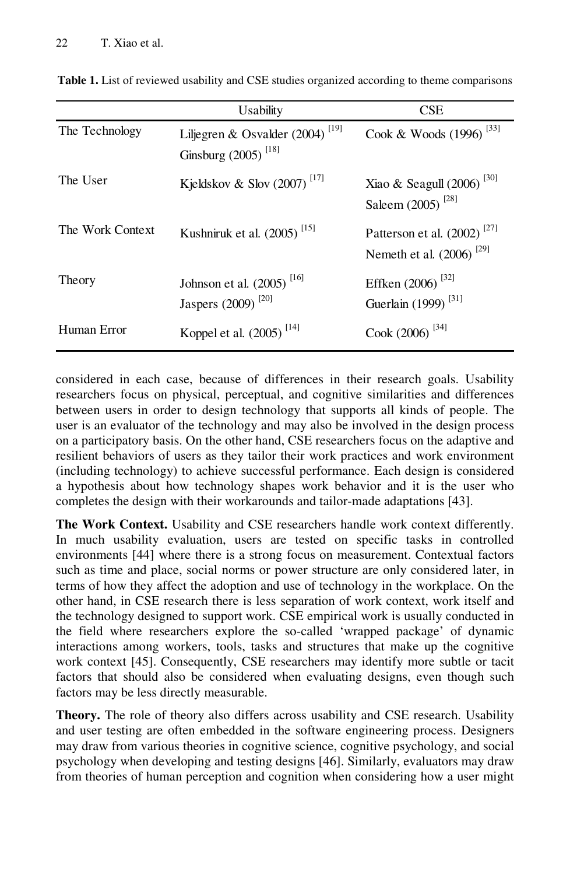|                  | Usability                                                                        | CSE                                                                                 |
|------------------|----------------------------------------------------------------------------------|-------------------------------------------------------------------------------------|
| The Technology   | Liljegren & Osvalder (2004) <sup>[19]</sup><br>Ginsburg $(2005)$ <sup>[18]</sup> | $[33]$<br>Cook & Woods (1996)                                                       |
| The User         | Kjeldskov & Slov $(2007)^{17}$                                                   | Xiao & Seagull $(2006)$ <sup>[30]</sup><br>Saleem (2005) <sup>[28]</sup>            |
| The Work Context | Kushniruk et al. $(2005)$ <sup>[15]</sup>                                        | Patterson et al. $(2002)$ <sup>[27]</sup><br>Nemeth et al. $(2006)$ <sup>[29]</sup> |
| Theory           | Johnson et al. $(2005)$ <sup>[16]</sup><br>Jaspers $(2009)$ <sup>[20]</sup>      | Effken $(2006)$ <sup>[32]</sup><br>Guerlain (1999) <sup>[31]</sup>                  |
| Human Error      | Koppel et al. $(2005)^{114}$                                                     | Cook $(2006)$ <sup>[34]</sup>                                                       |

**Table 1.** List of reviewed usability and CSE studies organized according to theme comparisons

considered in each case, because of differences in their research goals. Usability researchers focus on physical, perceptual, and cognitive similarities and differences between users in order to design technology that supports all kinds of people. The user is an evaluator of the technology and may also be involved in the design process on a participatory basis. On the other hand, CSE researchers focus on the adaptive and resilient behaviors of users as they tailor their work practices and work environment (including technology) to achieve successful performance. Each design is considered a hypothesis about how technology shapes work behavior and it is the user who completes the design with their workarounds and tailor-made adaptations [43].

**The Work Context.** Usability and CSE researchers handle work context differently. In much usability evaluation, users are tested on specific tasks in controlled environments [44] where there is a strong focus on measurement. Contextual factors such as time and place, social norms or power structure are only considered later, in terms of how they affect the adoption and use of technology in the workplace. On the other hand, in CSE research there is less separation of work context, work itself and the technology designed to support work. CSE empirical work is usually conducted in the field where researchers explore the so-called 'wrapped package' of dynamic interactions among workers, tools, tasks and structures that make up the cognitive work context [45]. Consequently, CSE researchers may identify more subtle or tacit factors that should also be considered when evaluating designs, even though such factors may be less directly measurable.

**Theory.** The role of theory also differs across usability and CSE research. Usability and user testing are often embedded in the software engineering process. Designers may draw from various theories in cognitive science, cognitive psychology, and social psychology when developing and testing designs [46]. Similarly, evaluators may draw from theories of human perception and cognition when considering how a user might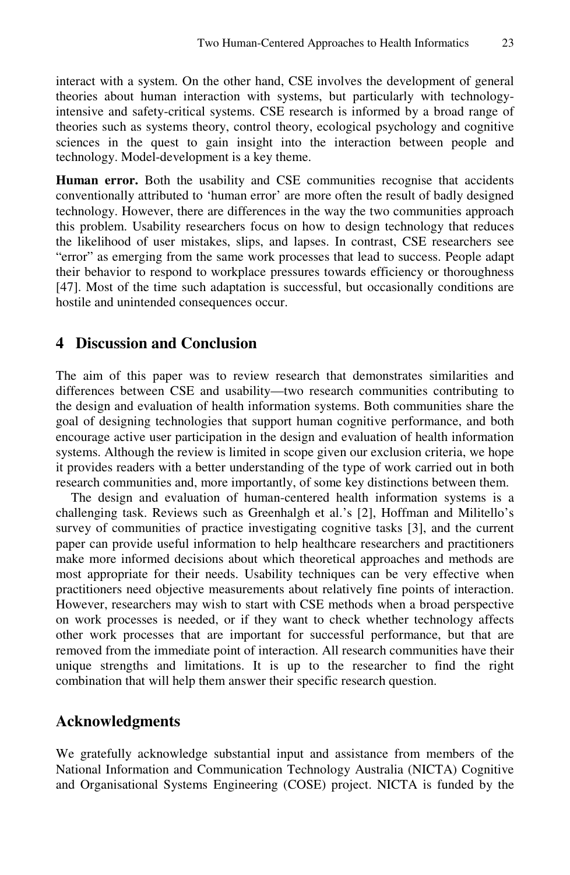interact with a system. On the other hand, CSE involves the development of general theories about human interaction with systems, but particularly with technologyintensive and safety-critical systems. CSE research is informed by a broad range of theories such as systems theory, control theory, ecological psychology and cognitive sciences in the quest to gain insight into the interaction between people and technology. Model-development is a key theme.

**Human error.** Both the usability and CSE communities recognise that accidents conventionally attributed to 'human error' are more often the result of badly designed technology. However, there are differences in the way the two communities approach this problem. Usability researchers focus on how to design technology that reduces the likelihood of user mistakes, slips, and lapses. In contrast, CSE researchers see "error" as emerging from the same work processes that lead to success. People adapt their behavior to respond to workplace pressures towards efficiency or thoroughness [47]. Most of the time such adaptation is successful, but occasionally conditions are hostile and unintended consequences occur.

#### **4 Discussion and Conclusion**

The aim of this paper was to review research that demonstrates similarities and differences between CSE and usability—two research communities contributing to the design and evaluation of health information systems. Both communities share the goal of designing technologies that support human cognitive performance, and both encourage active user participation in the design and evaluation of health information systems. Although the review is limited in scope given our exclusion criteria, we hope it provides readers with a better understanding of the type of work carried out in both research communities and, more importantly, of some key distinctions between them.

The design and evaluation of human-centered health information systems is a challenging task. Reviews such as Greenhalgh et al.'s [2], Hoffman and Militello's survey of communities of practice investigating cognitive tasks [3], and the current paper can provide useful information to help healthcare researchers and practitioners make more informed decisions about which theoretical approaches and methods are most appropriate for their needs. Usability techniques can be very effective when practitioners need objective measurements about relatively fine points of interaction. However, researchers may wish to start with CSE methods when a broad perspective on work processes is needed, or if they want to check whether technology affects other work processes that are important for successful performance, but that are removed from the immediate point of interaction. All research communities have their unique strengths and limitations. It is up to the researcher to find the right combination that will help them answer their specific research question.

#### **Acknowledgments**

We gratefully acknowledge substantial input and assistance from members of the National Information and Communication Technology Australia (NICTA) Cognitive and Organisational Systems Engineering (COSE) project. NICTA is funded by the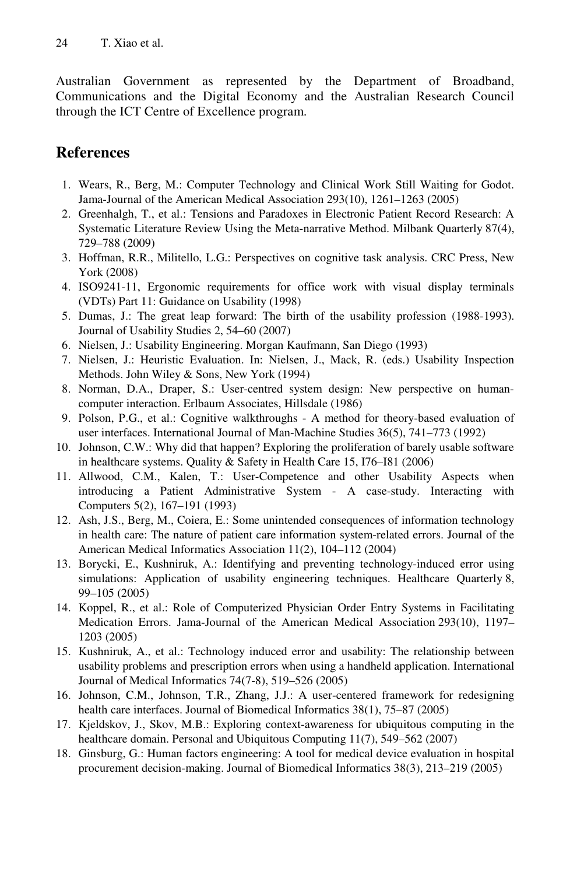Australian Government as represented by the Department of Broadband, Communications and the Digital Economy and the Australian Research Council through the ICT Centre of Excellence program.

## **References**

- 1. Wears, R., Berg, M.: Computer Technology and Clinical Work Still Waiting for Godot. Jama-Journal of the American Medical Association 293(10), 1261–1263 (2005)
- 2. Greenhalgh, T., et al.: Tensions and Paradoxes in Electronic Patient Record Research: A Systematic Literature Review Using the Meta-narrative Method. Milbank Quarterly 87(4), 729–788 (2009)
- 3. Hoffman, R.R., Militello, L.G.: Perspectives on cognitive task analysis. CRC Press, New York (2008)
- 4. ISO9241-11, Ergonomic requirements for office work with visual display terminals (VDTs) Part 11: Guidance on Usability (1998)
- 5. Dumas, J.: The great leap forward: The birth of the usability profession (1988-1993). Journal of Usability Studies 2, 54–60 (2007)
- 6. Nielsen, J.: Usability Engineering. Morgan Kaufmann, San Diego (1993)
- 7. Nielsen, J.: Heuristic Evaluation. In: Nielsen, J., Mack, R. (eds.) Usability Inspection Methods. John Wiley & Sons, New York (1994)
- 8. Norman, D.A., Draper, S.: User-centred system design: New perspective on humancomputer interaction. Erlbaum Associates, Hillsdale (1986)
- 9. Polson, P.G., et al.: Cognitive walkthroughs A method for theory-based evaluation of user interfaces. International Journal of Man-Machine Studies 36(5), 741–773 (1992)
- 10. Johnson, C.W.: Why did that happen? Exploring the proliferation of barely usable software in healthcare systems. Quality & Safety in Health Care 15, I76–I81 (2006)
- 11. Allwood, C.M., Kalen, T.: User-Competence and other Usability Aspects when introducing a Patient Administrative System - A case-study. Interacting with Computers 5(2), 167–191 (1993)
- 12. Ash, J.S., Berg, M., Coiera, E.: Some unintended consequences of information technology in health care: The nature of patient care information system-related errors. Journal of the American Medical Informatics Association 11(2), 104–112 (2004)
- 13. Borycki, E., Kushniruk, A.: Identifying and preventing technology-induced error using simulations: Application of usability engineering techniques. Healthcare Quarterly 8, 99–105 (2005)
- 14. Koppel, R., et al.: Role of Computerized Physician Order Entry Systems in Facilitating Medication Errors. Jama-Journal of the American Medical Association 293(10), 1197– 1203 (2005)
- 15. Kushniruk, A., et al.: Technology induced error and usability: The relationship between usability problems and prescription errors when using a handheld application. International Journal of Medical Informatics 74(7-8), 519–526 (2005)
- 16. Johnson, C.M., Johnson, T.R., Zhang, J.J.: A user-centered framework for redesigning health care interfaces. Journal of Biomedical Informatics 38(1), 75–87 (2005)
- 17. Kjeldskov, J., Skov, M.B.: Exploring context-awareness for ubiquitous computing in the healthcare domain. Personal and Ubiquitous Computing 11(7), 549–562 (2007)
- 18. Ginsburg, G.: Human factors engineering: A tool for medical device evaluation in hospital procurement decision-making. Journal of Biomedical Informatics 38(3), 213–219 (2005)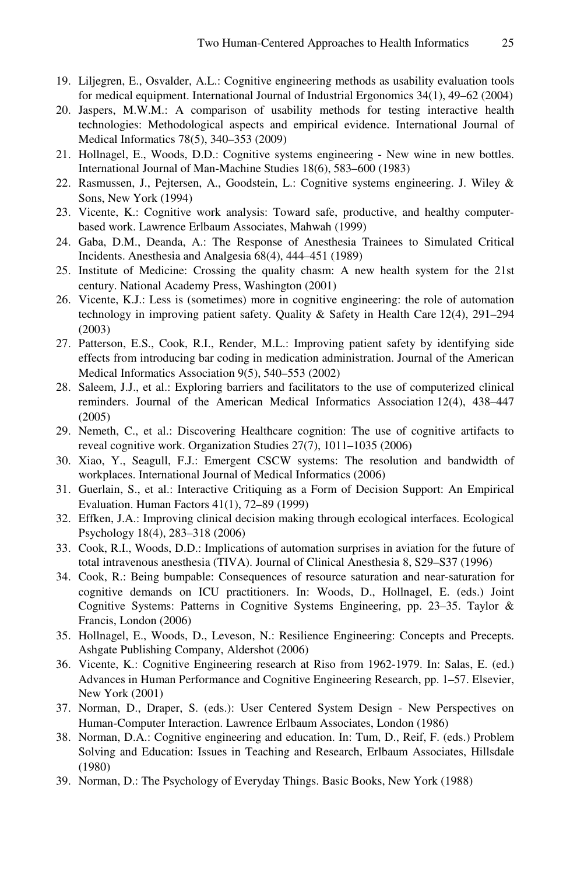- 19. Liljegren, E., Osvalder, A.L.: Cognitive engineering methods as usability evaluation tools for medical equipment. International Journal of Industrial Ergonomics 34(1), 49–62 (2004)
- 20. Jaspers, M.W.M.: A comparison of usability methods for testing interactive health technologies: Methodological aspects and empirical evidence. International Journal of Medical Informatics 78(5), 340–353 (2009)
- 21. Hollnagel, E., Woods, D.D.: Cognitive systems engineering New wine in new bottles. International Journal of Man-Machine Studies 18(6), 583–600 (1983)
- 22. Rasmussen, J., Pejtersen, A., Goodstein, L.: Cognitive systems engineering. J. Wiley & Sons, New York (1994)
- 23. Vicente, K.: Cognitive work analysis: Toward safe, productive, and healthy computerbased work. Lawrence Erlbaum Associates, Mahwah (1999)
- 24. Gaba, D.M., Deanda, A.: The Response of Anesthesia Trainees to Simulated Critical Incidents. Anesthesia and Analgesia 68(4), 444–451 (1989)
- 25. Institute of Medicine: Crossing the quality chasm: A new health system for the 21st century. National Academy Press, Washington (2001)
- 26. Vicente, K.J.: Less is (sometimes) more in cognitive engineering: the role of automation technology in improving patient safety. Quality & Safety in Health Care 12(4), 291–294 (2003)
- 27. Patterson, E.S., Cook, R.I., Render, M.L.: Improving patient safety by identifying side effects from introducing bar coding in medication administration. Journal of the American Medical Informatics Association 9(5), 540–553 (2002)
- 28. Saleem, J.J., et al.: Exploring barriers and facilitators to the use of computerized clinical reminders. Journal of the American Medical Informatics Association 12(4), 438–447 (2005)
- 29. Nemeth, C., et al.: Discovering Healthcare cognition: The use of cognitive artifacts to reveal cognitive work. Organization Studies 27(7), 1011–1035 (2006)
- 30. Xiao, Y., Seagull, F.J.: Emergent CSCW systems: The resolution and bandwidth of workplaces. International Journal of Medical Informatics (2006)
- 31. Guerlain, S., et al.: Interactive Critiquing as a Form of Decision Support: An Empirical Evaluation. Human Factors 41(1), 72–89 (1999)
- 32. Effken, J.A.: Improving clinical decision making through ecological interfaces. Ecological Psychology 18(4), 283–318 (2006)
- 33. Cook, R.I., Woods, D.D.: Implications of automation surprises in aviation for the future of total intravenous anesthesia (TIVA). Journal of Clinical Anesthesia 8, S29–S37 (1996)
- 34. Cook, R.: Being bumpable: Consequences of resource saturation and near-saturation for cognitive demands on ICU practitioners. In: Woods, D., Hollnagel, E. (eds.) Joint Cognitive Systems: Patterns in Cognitive Systems Engineering, pp. 23–35. Taylor & Francis, London (2006)
- 35. Hollnagel, E., Woods, D., Leveson, N.: Resilience Engineering: Concepts and Precepts. Ashgate Publishing Company, Aldershot (2006)
- 36. Vicente, K.: Cognitive Engineering research at Riso from 1962-1979. In: Salas, E. (ed.) Advances in Human Performance and Cognitive Engineering Research, pp. 1–57. Elsevier, New York (2001)
- 37. Norman, D., Draper, S. (eds.): User Centered System Design New Perspectives on Human-Computer Interaction. Lawrence Erlbaum Associates, London (1986)
- 38. Norman, D.A.: Cognitive engineering and education. In: Tum, D., Reif, F. (eds.) Problem Solving and Education: Issues in Teaching and Research, Erlbaum Associates, Hillsdale (1980)
- 39. Norman, D.: The Psychology of Everyday Things. Basic Books, New York (1988)